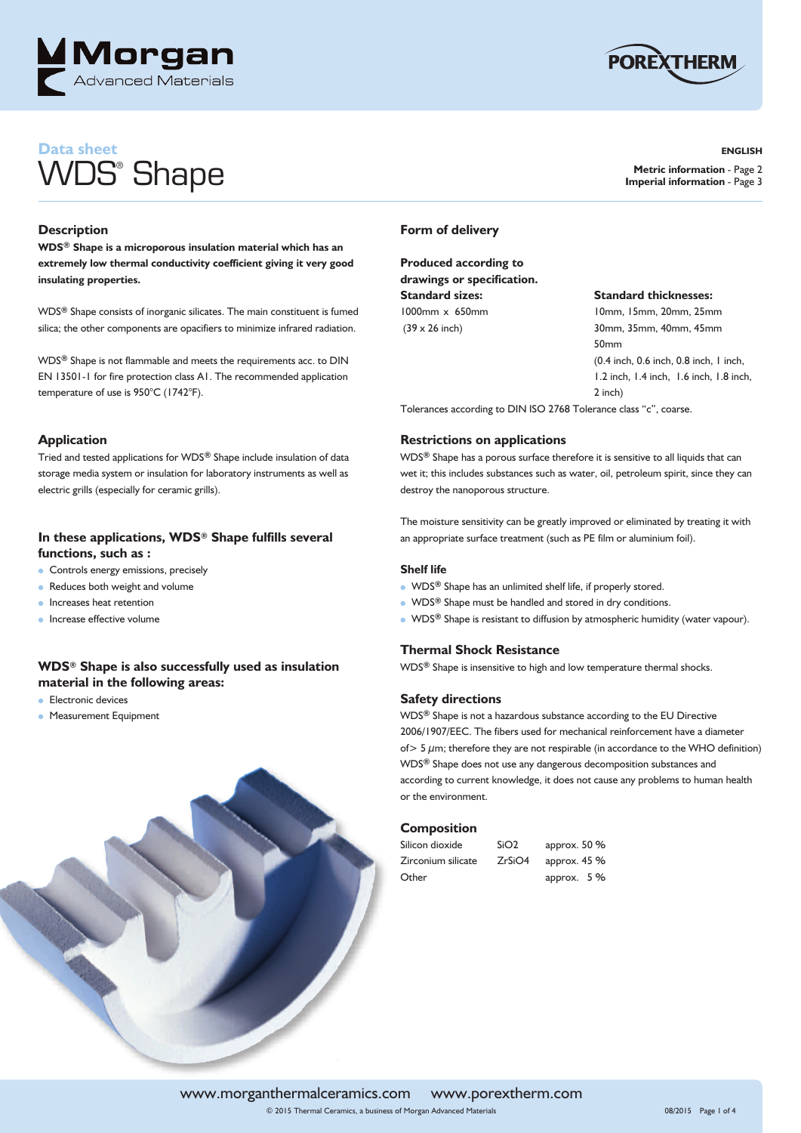



**ENGLISH**

**Metric information** - Page 2 **Imperial information** - Page 3

## **Data sheet** WDS® Shape

#### **Description**

**WDS® Shape is a microporous insulation material which has an extremely low thermal conductivity coefficient giving it very good insulating properties.**

WDS**®** Shape consists of inorganic silicates. The main constituent is fumed silica; the other components are opacifiers to minimize infrared radiation.

WDS**®** Shape is not flammable and meets the requirements acc. to DIN EN 13501-1 for fire protection class A1. The recommended application temperature of use is 950°C (1742°F).

#### **Application**

Tried and tested applications for WDS**®** Shape include insulation of data storage media system or insulation for laboratory instruments as well as electric grills (especially for ceramic grills).

#### **In these applications, WDS® Shape fulfills several functions, such as :**

- **Controls energy emissions, precisely**
- $\bullet$  Reduces both weight and volume
- Increases heat retention
- Increase effective volume

#### **WDS® Shape is also successfully used as insulation material in the following areas:**

- $\bullet$  Electronic devices
- **Measurement Equipment**



#### **Form of delivery**

**Produced according to drawings or specification. Standard sizes: Standard thicknesses:** 1000mm x 650mm 10mm, 15mm, 20mm, 25mm

(39 x 26 inch) 30mm, 35mm, 40mm, 45mm 50mm (0.4 inch, 0.6 inch, 0.8 inch, 1 inch, 1.2 inch, 1.4 inch, 1.6 inch, 1.8 inch, 2 inch)

Tolerances according to DIN ISO 2768 Tolerance class "c", coarse.

#### **Restrictions on applications**

WDS**®** Shape has a porous surface therefore it is sensitive to all liquids that can wet it; this includes substances such as water, oil, petroleum spirit, since they can destroy the nanoporous structure.

The moisture sensitivity can be greatly improved or eliminated by treating it with an appropriate surface treatment (such as PE film or aluminium foil).

#### **Shelf life**

- **.** WDS<sup>®</sup> Shape has an unlimited shelf life, if properly stored.
- **•** WDS<sup>®</sup> Shape must be handled and stored in dry conditions.
- **•** WDS<sup>®</sup> Shape is resistant to diffusion by atmospheric humidity (water vapour).

#### **Thermal Shock Resistance**

WDS**®** Shape is insensitive to high and low temperature thermal shocks.

#### **Safety directions**

WDS**®** Shape is not a hazardous substance according to the EU Directive 2006/1907/EEC. The fibers used for mechanical reinforcement have a diameter of  $> 5 \mu$ m; therefore they are not respirable (in accordance to the WHO definition) WDS**®** Shape does not use any dangerous decomposition substances and according to current knowledge, it does not cause any problems to human health or the environment.

#### **Composition**

| Silicon dioxide    | SiO <sub>2</sub> | approx. 50 %  |
|--------------------|------------------|---------------|
| Zirconium silicate | ZrSiO4           | approx. $45%$ |
| Other              |                  | approx. $5%$  |

www.morganthermalceramics.com www.porextherm.com © 2015 Thermal Ceramics, a business of Morgan Advanced Materials 08/2015 Page 1 of 4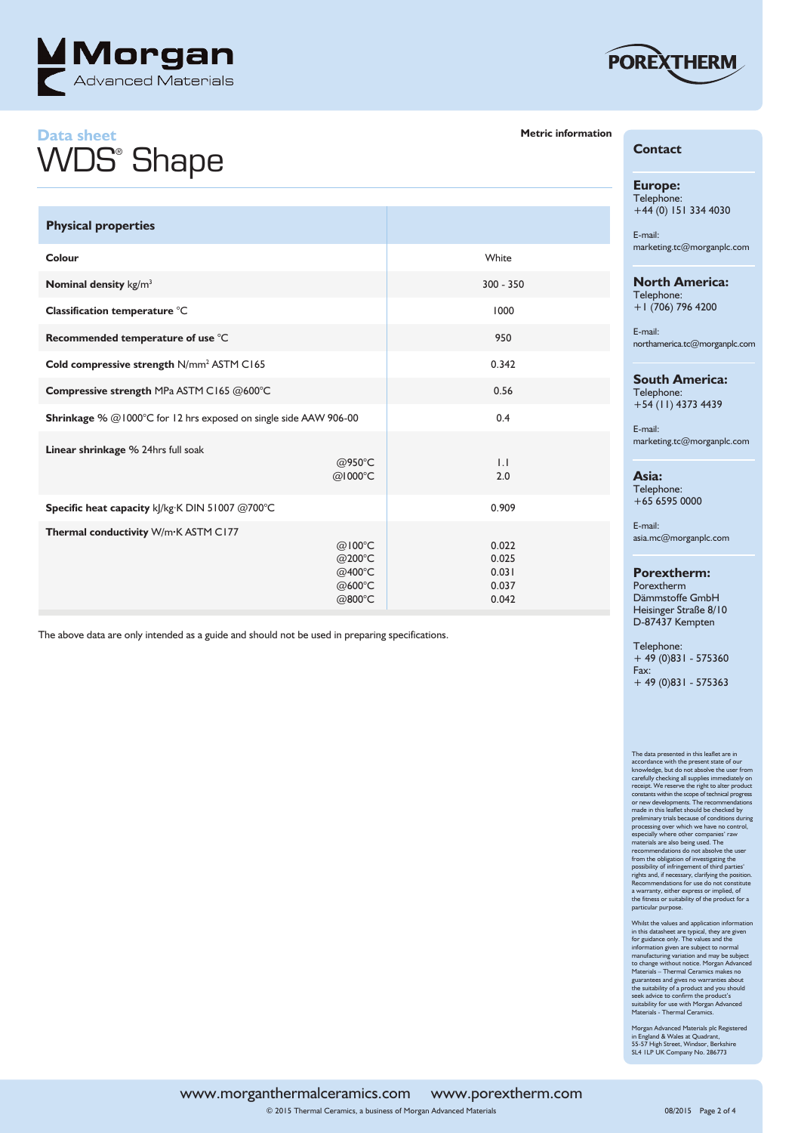

## **Data sheet** WDS® Shape

**Linear shrinkage** % 24hrs full soak

**Thermal conductivity** W/m**·**K ASTM C177

**Physical properties**

The above data are only intended as a guide and should not be used in preparing specifications.

**Colour** White

**Nominal density** kg/m<sup>3</sup> 300 - 350

**Classification temperature**  $\degree$ C 1000

**Recommended temperature of use**  $^{\circ}$ C 950

**Cold compressive strength N/mm<sup>2</sup> ASTM C165 0.342** 

**Shrinkage** % @1000°C for 12 hrs exposed on single side AAW 906-00 0.4

**Compressive strength** MPa ASTM C165 @600°C **0.56** 0.56

 $\textcircled{a}$ 950°C 1.112  $\textcircled{a}$ 950°C 1.122  $\textcircled{a}$  $\textcircled{1000°C}$  and  $\textcircled{1000°C}$  and  $\textcircled{21000\textdegree}$ 

 $\textcircled{a}100^{\circ}\text{C}$  and  $\textcircled{a}100^{\circ}\text{C}$  and  $\textcircled{a}100^{\circ}\text{C}$  and  $\textcircled{a}100^{\circ}\text{C}$  and  $\textcircled{a}100^{\circ}\text{C}$  and  $\textcircled{a}100^{\circ}\text{C}$  and  $\textcircled{a}100^{\circ}\text{C}$  and  $\textcircled{a}100^{\circ}\text{C}$  and  $\textcircled{a}100^{\circ}\text{C}$   $\textcircled{200°C}$  and  $\textcircled{200°C}$  and  $\textcircled{200°C}$  and  $\textcircled{101}$  $\textcircled{a}$ 400°C  $\textcircled{b}$  0.031  $\textcircled{a}$  600°C  $\textcircled{b}$  600°C  $\textcircled{b}$  600°C  $\textcircled{b}$  600°C  $\textcircled{b}$  600°C  $\textcircled{b}$  600°C  $\textcircled{b}$  600°C  $\textcircled{b}$  600°C  $\textcircled{b}$  600°C  $\textcircled{b}$  600°C  $\textcircled{b}$  600°C  $\textcircled{b}$  600°C  $\textcircled{b}$  600°C  $\textcircled{b}$  600  $\textcircled{a}$ 800°C  $\textcircled{b}$  0.042

**Specific heat capacity** kJ/kg·K DIN 51007 @700°C 0.909



### **Metric information**

| <b>Contact</b> |
|----------------|
|----------------|

**Europe:** Telephone: +44 (0) 151 334 4030

E-mail: marketing.tc@morganplc.com

**North America:** Telephone: +1 (706) 796 4200

E-mail: northamerica.tc@morganplc.com

#### **South America:**

Telephone: +54 (11) 4373 4439

E-mail: marketing.tc@morganplc.com

**Asia:** Telephone:

+65 6595 0000

E-mail: asia.mc@morganplc.com

**Porextherm:**

Porextherm Dämmstoffe GmbH Heisinger Straße 8/10 D-87437 Kempten

Telephone: + 49 (0)831 - 575360 Fax: + 49 (0)831 - 575363

The data presented in this leadler are in<br>accordance with the pearls taste of our accordance with the present state of our<br>knowledge, but do not absolve the user from<br>carefully checking all supplies immediately one receipt from the obligation of investigating the<br>rights and, if necessary, clarifying the position<br>rights and, if necessary, clarifying the position<br>Recommendations for use do not constitute<br>a warranty, either express or implied, the fitness or suitability of the product for a particular purpose.

Whilst the values and application information<br>in this datasheet are typical, they are given<br>for guidance only. The values and the<br>information given are subject to normal<br>manufacturing variation and may be subject<br>to change guarantees and gives no warranties about the suitability of a product and you should seek advice to confirm the product's suitability for use with Morgan Advanced Materials - Thermal Ceramics.

Morgan Advanced Materials plc Registered in England & Wales at Quadrant, 55-57 High Street, Windsor, Berkshire SL4 1LP UK Company No. 286773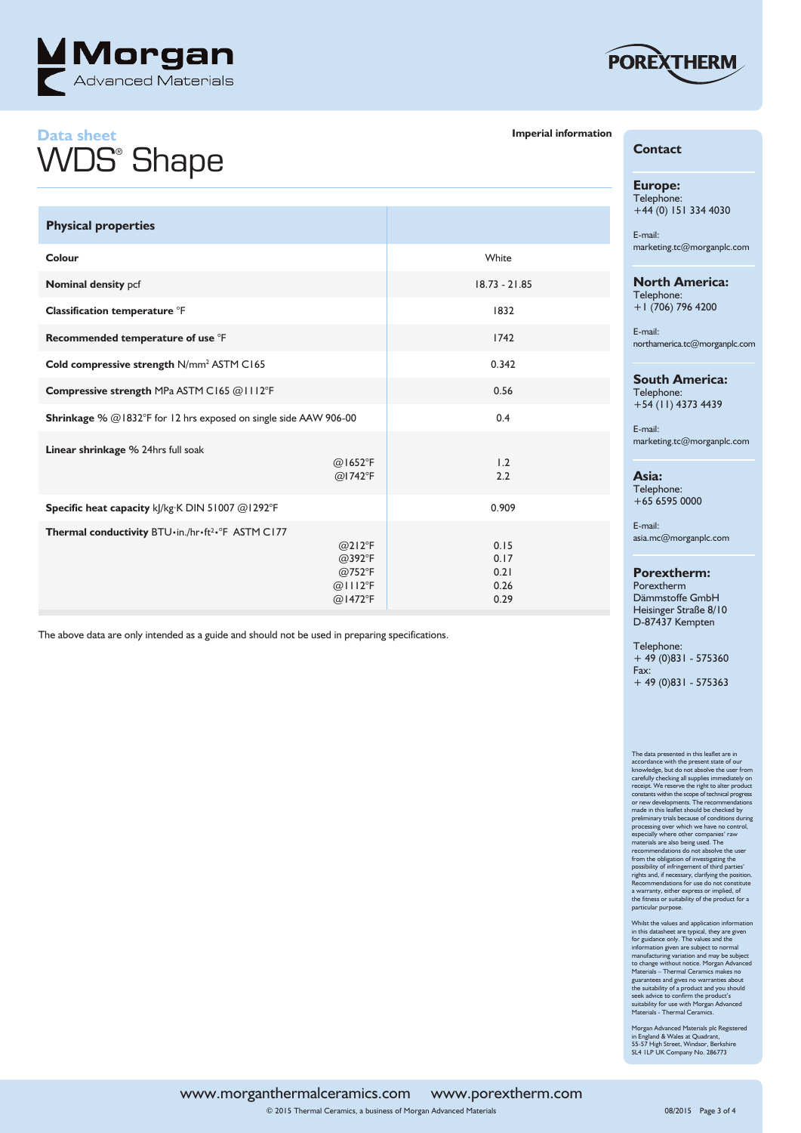

## **Data sheet** WDS® Shape



### **Imperial information**

| <b>Physical properties</b>                                       |                                                                                         |                                      |
|------------------------------------------------------------------|-----------------------------------------------------------------------------------------|--------------------------------------|
| Colour                                                           |                                                                                         | White                                |
| Nominal density pcf                                              |                                                                                         | $18.73 - 21.85$                      |
| Classification temperature °F                                    |                                                                                         | 1832                                 |
| Recommended temperature of use °F                                |                                                                                         | 1742                                 |
| Cold compressive strength N/mm <sup>2</sup> ASTM C165            |                                                                                         | 0.342                                |
| Compressive strength MPa ASTM C165 @1112°F                       |                                                                                         | 0.56                                 |
| Shrinkage % @1832°F for 12 hrs exposed on single side AAW 906-00 |                                                                                         | 0.4                                  |
| Linear shrinkage % 24hrs full soak                               | $@$ 1652°F<br>$@$ l 742 ${}^{\circ}$ F                                                  | 1.2<br>2.2                           |
| Specific heat capacity kJ/kg·K DIN 51007 @1292°F                 |                                                                                         | 0.909                                |
| Thermal conductivity BTU·in./hr·ft <sup>2</sup> ·°F ASTM C177    | $@212^{\circ}F$<br>$@392^{\circ}F$<br>$@752^{\circ}F$<br>$@$ III2°F<br>$@1472^{\circ}F$ | 0.15<br>0.17<br>0.21<br>0.26<br>0.29 |

The above data are only intended as a guide and should not be used in preparing specifications.

#### **Europe:** Telephone:

**Contact**

+44 (0) 151 334 4030

E-mail: marketing.tc@morganplc.com

#### **North America:** Telephone: +1 (706) 796 4200

E-mail: northamerica.tc@morganplc.com

#### **South America:**

Telephone: +54 (11) 4373 4439

E-mail: marketing.tc@morganplc.com

**Asia:**

Telephone: +65 6595 0000

E-mail: asia.mc@morganplc.com

**Porextherm:**

Porextherm Dämmstoffe GmbH Heisinger Straße 8/10 D-87437 Kempten

Telephone: + 49 (0)831 - 575360 Fax: + 49 (0)831 - 575363

# The data presented in this leadler are in<br>accordance with the pearls taste of our accordance with the present state of our<br>knowledge, but do not absolve the user from<br>carefully checking all supplies immediately one receipt from the obligation of investigating the<br>possibility of infringement of third parties'<br>rights and, if necessary, clarifying the position.<br>Recommendations for use do not constitute<br>a warranty, either express or implied, of<br>

Whilst the values and application information<br>in this datasheet are typical, they are given<br>for guidance only. The values and the<br>information given are subject to normal<br>manufacturing variation and may be subject<br>to change

Morgan Advanced Materials plc Registered in England & Wales at Quadrant, 55-57 High Street, Windsor, Berkshire SL4 1LP UK Company No. 286773